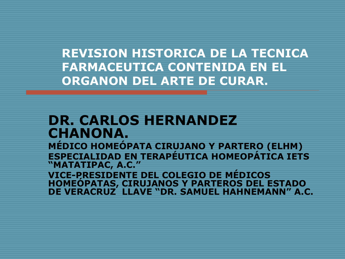**REVISION HISTORICA DE LA TECNICA FARMACEUTICA CONTENIDA EN EL ORGANON DEL ARTE DE CURAR.**

#### **DR. CARLOS HERNANDEZ CHANONA.**

**MÉDICO HOMEÓPATA CIRUJANO Y PARTERO (ELHM) ESPECIALIDAD EN TERAPÉUTICA HOMEOPÁTICA IETS "MATATIPAC, A.C."**

**VICE-PRESIDENTE DEL COLEGIO DE MÉDICOS HOMEÓPATAS, CIRUJANOS Y PARTEROS DEL ESTADO DE VERACRUZ LLAVE "DR. SAMUEL HAHNEMANN" A.C.**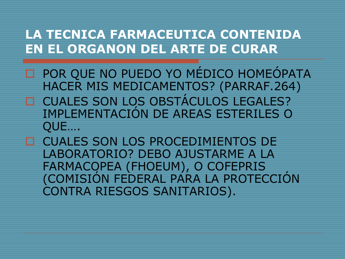- □ POR QUE NO PUEDO YO MÉDICO HOMEÓPATA HACER MIS MEDICAMENTOS? (PARRAF.264) □ CUALES SON LOS OBSTÁCULOS LEGALES? IMPLEMENTACIÓN DE AREAS ESTERILES O QUE….
- □ CUALES SON LOS PROCEDIMIENTOS DE LABORATORIO? DEBO AJUSTARME A LA FARMACOPEA (FHOEUM), O COFEPRIS (COMISIÓN FEDERAL PARA LA PROTECCIÓN CONTRA RIESGOS SANITARIOS).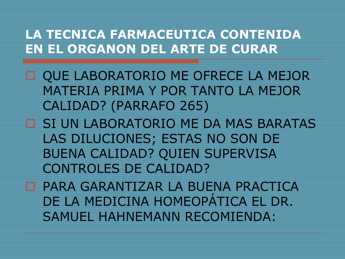- **OUE LABORATORIO ME OFRECE LA MEJOR** MATERIA PRIMA Y POR TANTO LA MEJOR CALIDAD? (PARRAFO 265)
- SI UN LABORATORIO ME DA MAS BARATAS LAS DILUCIONES; ESTAS NO SON DE BUENA CALIDAD? QUIEN SUPERVISA CONTROLES DE CALIDAD?

 PARA GARANTIZAR LA BUENA PRACTICA DE LA MEDICINA HOMEOPÁTICA EL DR. SAMUEL HAHNEMANN RECOMIENDA: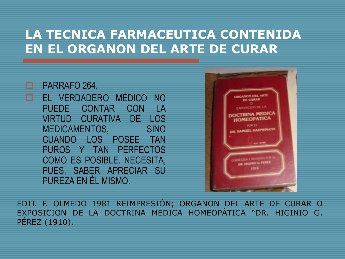#### D PARRAFO 264.

 EL VERDADERO MÉDICO NO PUEDE CONTAR CON LA VIRTUD CURATIVA DE LOS MEDICAMENTOS, SINO CUANDO LOS POSEE TAN PUROS Y TAN PERFECTOS COMO ES POSIBLE. NECESITA, PUES, SABER APRECIAR SU PUREZA EN ÉL MISMO.



EDIT. F. OLMEDO 1981 REIMPRESIÓN; ORGANON DEL ARTE DE CURAR O EXPOSICION DE LA DOCTRINA MEDICA HOMEOPÁTICA "DR. HIGINIO G. PÉREZ (1910).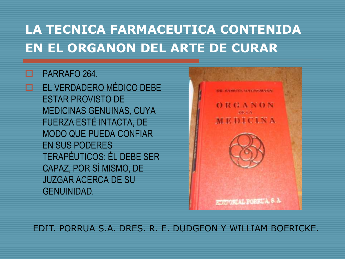#### PARRAFO 264.

 EL VERDADERO MÉDICO DEBE ESTAR PROVISTO DE MEDICINAS GENUINAS, CUYA FUERZA ESTÉ INTACTA, DE MODO QUE PUEDA CONFIAR EN SUS PODERES TERAPÉUTICOS; ÉL DEBE SER CAPAZ, POR SÍ MISMO, DE JUZGAR ACERCA DE SU GENUINIDAD.



EDIT. PORRUA S.A. DRES. R. E. DUDGEON Y WILLIAM BOERICKE.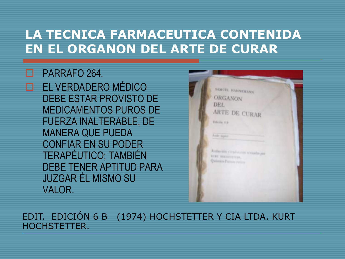#### PARRAFO 264.

 EL VERDADERO MÉDICO DEBE ESTAR PROVISTO DE MEDICAMENTOS PUROS DE FUERZA INALTERABLE, DE MANERA QUE PUEDA CONFIAR EN SU PODER TERAPÉUTICO; TAMBIÉN DEBE TENER APTITUD PARA JUZGAR ÉL MISMO SU VALOR.



EDIT. EDICIÓN 6 B (1974) HOCHSTETTER Y CIA LTDA. KURT HOCHSTETTER.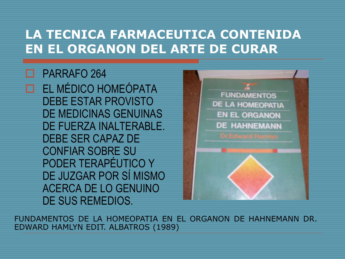PARRAFO 264 EL MÉDICO HOMEÓPATA DEBE ESTAR PROVISTO DE MEDICINAS GENUINAS DE FUERZA INALTERABLE. DEBE SER CAPAZ DE CONFIAR SOBRE SU PODER TERAPÉUTICO Y DE JUZGAR POR SÍ MISMO ACERCA DE LO GENUINO DE SUS REMEDIOS.



FUNDAMENTOS DE LA HOMEOPATIA EN EL ORGANON DE HAHNEMANN DR. EDWARD HAMLYN EDIT. ALBATROS (1989)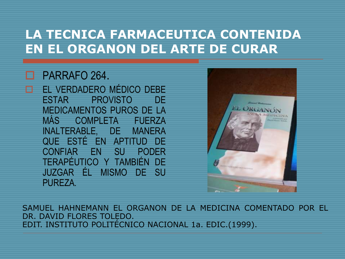#### PARRAFO 264.

 EL VERDADERO MÉDICO DEBE ESTAR PROVISTO DE MEDICAMENTOS PUROS DE LA MÁS COMPLETA FUERZA INALTERABLE, DE MANERA QUE ESTÉ EN APTITUD DE CONFIAR EN SU PODER TERAPÉUTICO Y TAMBIÉN DE JUZGAR ÉL MISMO DE SU PUREZA.



SAMUEL HAHNEMANN EL ORGANON DE LA MEDICINA COMENTADO POR EL DR. DAVID FLORES TOLEDO. EDIT. INSTITUTO POLITÉCNICO NACIONAL 1a. EDIC.(1999).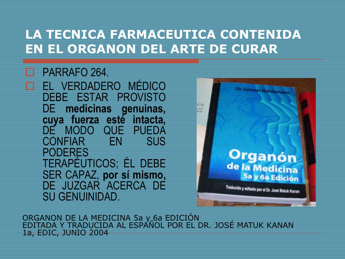#### PARRAFO 264.

 EL VERDADERO MÉDICO DEBE ESTAR PROVISTO DE **medicinas genuinas, cuya fuerza esté intacta,** DE MODO QUE PUEDA<br>CONFIAR EN SUS CONFIAR EN PODERES TERAPÉUTICOS; ÉL DEBE SER CAPAZ, **por sí mismo,** DE JUZGAR ACERCA DE SU GENUINIDAD.



ORGANON DE LA MEDICINA 5a y 6a EDICIÓN EDITADA Y TRADUCIDA AL ESPAÑOL POR EL DR. JOSÉ MATUK KANAN 1a, EDIC, JUNIO 2004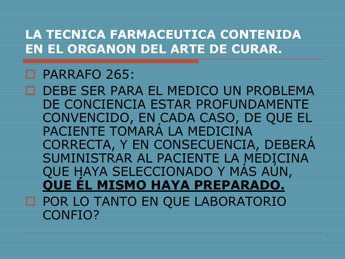#### PARRAFO 265:

 DEBE SER PARA EL MEDICO UN PROBLEMA DE CONCIENCIA ESTAR PROFUNDAMENTE CONVENCIDO, EN CADA CASO, DE QUE EL PACIENTE TOMARÁ LA MEDICINA CORRECTA, Y EN CONSECUENCIA, DEBERÁ SUMINISTRAR AL PACIENTE LA MEDICINA QUE HAYA SELECCIONADO Y MÁS AÚN, **QUE ÉL MISMO HAYA PREPARADO. D POR LO TANTO EN QUE LABORATORIO** CONFIO?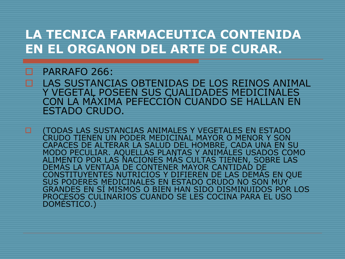#### PARRAFO 266:

LAS SUSTANCIAS OBTENIDAS DE LOS REINOS ANIMAL<br>Y VEGETAL POSEEN SUS CUALIDADES MEDICINALES CON LA MÁXIMA PEFECCIÓN CUANDO SE HALLAN EN ESTADO CRUDO.

**D** (TODAS LAS SUSTANCIAS ANIMALES Y VEGETALES EN ESTADO CRUDO TIENEN UN PODER MEDICINAL MAYOR O MENOR Y SON CAPACES DE ALTERAR LA SALUD DEL HOMBRE, CADA UNA EN SU MODO PECULIAR. AQUELLAS PLANTAS Y ANIMÁLES USADOS COMO<br>ALIMENTO POR LAS NACIONES MÁS CULTAS TIENEN, SOBRE LAS<br>DEMÁS LA VENTAJA DE CONTENER MAYOR CANTIDAD DE<br>CONSTITUYENTES NUTRICIOS Y DIFIEREN DE LAS DEMÁS EN QUE SUS PODERES MEDICINALES EN ESTADO CRUDO NO SON MUY<br>GRANDES EN SÍ MISMOS O BIEN HAN SIDO DISMINUIDOS POR LOS PROCESOS CULINARIOS CUANDO SE LES COCINA PARA EL USO DOMÉSTICO.)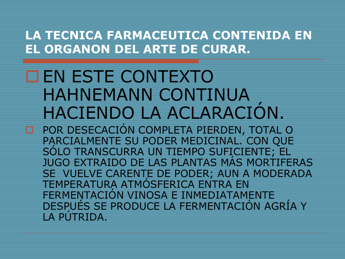# EN ESTE CONTEXTO HAHNEMANN CONTINUA HACIENDO LA ACLARACIÓN.

 POR DESECACIÓN COMPLETA PIERDEN, TOTAL O PARCIALMENTE SU PODER MEDICINAL. CON QUE SÓLO TRANSCURRA UN TIEMPO SUFICIENTE; EL JUGO EXTRAIDO DE LAS PLANTAS MÁS MORTIFERAS SE VUELVE CARENTE DE PODER; AUN A MODERADA TEMPERATURA ATMÓSFERICA ENTRA EN FERMENTACIÓN VINOSA E INMEDIATAMENTE DESPUÉS SE PRODUCE LA FERMENTACIÓN AGRÍA Y LA PÚTRIDA.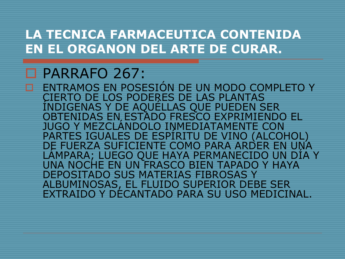### PARRAFO 267:

ENTRAMOS EN POSESIÓN DE UN MODO COMPLETO Y<br>CIERTO DE LOS PODERES DE LAS PLANTAS INDIGENAS Y DE AQUÉLLAS QUE PUEDEN SER<br>OBTENIDAS EN, ESTADO FRESCO EXPRIMIENDO EL JUGO Y MEZCLÁNDOLO INMEDIATAMENTE CON<br>PARTES IGUALES DE ESPÍRITU DE VINO (ALCOHOL)<br>DE FUERZA SUFICIENTE COMO PARA ARDER EN UNA DE FUERZA SUFICIENTE COMO PARA ARDER EN UNA LÁMPARA; LUEGO QUE HAYA PERMANECIDO UN DÍA Y UNA NOCHE EN UN FRASCO BIEN TAPADO Y HAYA DEPOSITADO SUS MATERIAS FIBROSAS Y ALBUMINOSAS, EL FLUIDO SUPERIOR DEBE SER EXTRAIDO Y DECANTADO PARA SU USO MEDICINAL.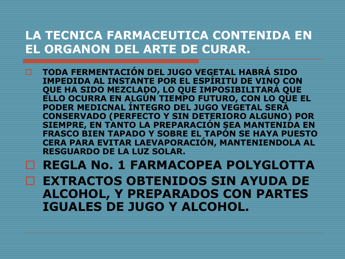**TODA FERMENTACIÓN DEL JUGO VEGETAL HABRÁ SIDO IMPEDIDA AL INSTANTE POR EL ESPÍRITU DE VINO CON QUE HA SIDO MEZCLADO, LO QUE IMPOSIBILITARÁ QUE ELLO OCURRA EN ALGÚN TIEMPO FUTURO, CON LO QUE EL PODER MEDICNAL ÍNTEGRO DEL JUGO VEGETAL SERÁ CONSERVADO (PERFECTO Y SIN DETERIORO ALGUNO) POR SIEMPRE, EN TANTO LA PREPARACIÓN SEA MANTENIDA EN FRASCO BIEN TAPADO Y SOBRE EL TAPÓN SE HAYA PUESTO CERA PARA EVITAR LAEVAPORACIÓN, MANTENIENDOLA AL RESGUARDO DE LA LUZ SOLAR.**

#### **REGLA No. 1 FARMACOPEA POLYGLOTTA**

**EXTRACTOS OBTENIDOS SIN AYUDA DE ALCOHOL, Y PREPARADOS CON PARTES IGUALES DE JUGO Y ALCOHOL.**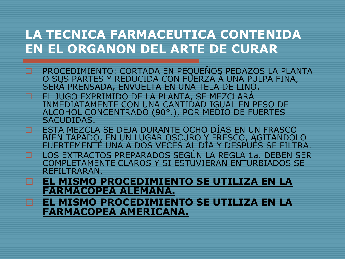- PROCEDIMIENTO: CORTADA EN PEQUEÑOS PEDAZOS LA PLANTA O SUS PARTES Y REDUCIDA CON FUERZA Á UNA PULPA FINA, SERÁ PRENSADA, ENVUELTA EN UNA TELA DE LINO.
- EL JUGO EXPRIMIDO DE LA PLANTA, SE MEZCLARÁ INMEDIATAMENTE CON UNA CANTIDAD IGUAL EN PESO DE ALCOHOL CONCENTRADO (90°.), POR MEDIO DE FUERTES SACUDIDAS.
- ESTA MEZCLA SE DEJA DURANTE OCHO DÍAS EN UN FRASCO BIEN TAPADO, EN UN LUGAR OSCURO Y FRESCO, AGITANDOLO FUERTEMENTE UNA A DOS VECES AL DÍA Y DESPUÉS SE FILTRA.
- LOS EXTRACTOS PREPARADOS SEGÚN LA REGLA 1a. DEBEN SER COMPLETAMENTE CLAROS Y SI ESTUVIERAN ENTURBIADOS SE REFILTRARÁN.
- **EL MISMO PROCEDIMIENTO SE UTILIZA EN LA FARMACOPEA ALEMANA.**
- **EL MISMO PROCEDIMIENTO SE UTILIZA EN LA FARMACOPEA AMERICANA.**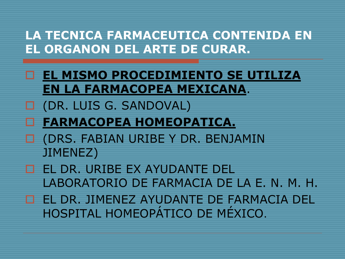- **EL MISMO PROCEDIMIENTO SE UTILIZA EN LA FARMACOPEA MEXICANA**.
- (DR. LUIS G. SANDOVAL)
- **FARMACOPEA HOMEOPATICA.**
- (DRS. FABIAN URIBE Y DR. BENJAMIN JIMENEZ)
- EL DR. URIBE EX AYUDANTE DEL LABORATORIO DE FARMACIA DE LA E. N. M. H.
- EL DR. JIMENEZ AYUDANTE DE FARMACIA DEL HOSPITAL HOMEOPÁTICO DE MÉXICO.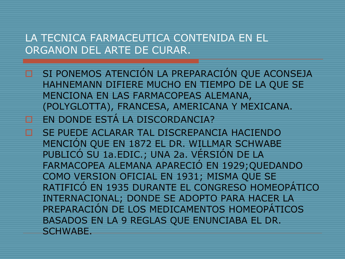- □ SI PONEMOS ATENCIÓN LA PREPARACIÓN QUE ACONSEJA HAHNEMANN DIFIERE MUCHO EN TIEMPO DE LA QUE SE MENCIONA EN LAS FARMACOPEAS ALEMANA, (POLYGLOTTA), FRANCESA, AMERICANA Y MEXICANA.
- EN DONDE ESTÁ LA DISCORDANCIA?
- SE PUEDE ACLARAR TAL DISCREPANCIA HACIENDO MENCIÓN QUE EN 1872 EL DR. WILLMAR SCHWABE PUBLICÓ SU 1a.EDIC.; UNA 2a. VÉRSIÓN DE LA FARMACOPEA ALEMANA APARECIÓ EN 1929;QUEDANDO COMO VERSION OFICIAL EN 1931; MISMA QUE SE RATIFICÓ EN 1935 DURANTE EL CONGRESO HOMEOPÁTICO INTERNACIONAL; DONDE SE ADOPTO PARA HACER LA PREPARACIÓN DE LOS MEDICAMENTOS HOMEOPÁTICOS BASADOS EN LA 9 REGLAS QUE ENUNCIABA EL DR. SCHWABE.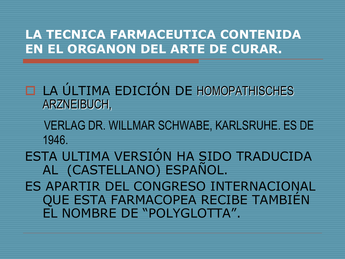- LA ÚLTIMA EDICIÓN DE HOMOPATHISCHES ARZNEIBUCH,
	- VERLAG DR. WILLMAR SCHWABE, KARLSRUHE. ES DE 1946.
- ESTA ULTIMA VERSIÓN HA SIDO TRADUCIDA AL (CASTELLANO) ESPAÑOL.
- ES APARTIR DEL CONGRESO INTERNACIONAL QUE ESTA FARMACOPEA RECIBE TAMBIÉN EL NOMBRE DE "POLYGLOTTA".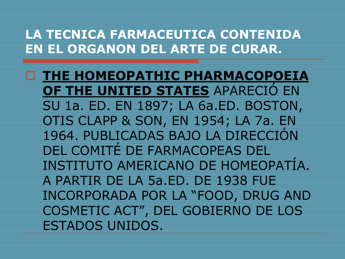**THE HOMEOPATHIC PHARMACOPOEIA OF THE UNITED STATES** APARECIÓ EN SU 1a. ED. EN 1897; LA 6a.ED. BOSTON, OTIS CLAPP & SON, EN 1954; LA 7a. EN 1964. PUBLICADAS BAJO LA DIRECCIÓN DEL COMITÉ DE FARMACOPEAS DEL INSTITUTO AMERICANO DE HOMEOPATÍA. A PARTIR DE LA 5a.ED. DE 1938 FUE INCORPORADA POR LA "FOOD, DRUG AND COSMETIC ACT", DEL GOBIERNO DE LOS ESTADOS UNIDOS.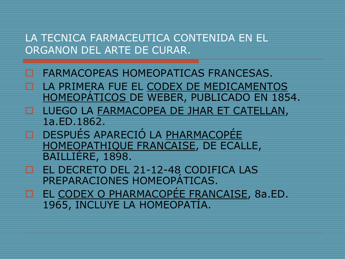- FARMACOPEAS HOMEOPATICAS FRANCESAS.
- LA PRIMERA FUE EL CODEX DE MEDICAMENTOS HOMEOPÁTICOS DE WEBER, PUBLICADO EN 1854.
- **LUEGO LA FARMACOPEA DE JHAR ET CATELLAN,** 1a.ED.1862.
- DESPUÉS APARECIÓ LA PHARMACOPÉE HOMEOPATHIQUE FRANCAISE, DE ECALLE, BAILLIÉRE, 1898.
- EL DECRETO DEL 21-12-48 CODIFICA LAS PREPARACIONES HOMEOPÁTICAS.
- **EL CODEX O PHARMACOPÉE FRANCAISE, 8a.ED.** 1965, INCLUYE LA HOMEOPATÍA.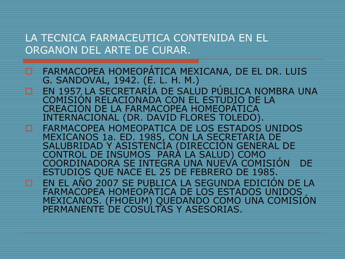- **E FARMACOPEA HOMEOPÁTICA MEXICANA, DE EL DR. LUIS** G. SANDOVAL, 1942. (E. L. H. M.)
- EN 1957 LA SECRETARÍA DE SALUD PÚBLICA NOMBRA UNA COMISIÓN RELACIONADA CON EL ESTUDIO DE LA CREACIÓN DE LA FARMACOPEA HOMEOPÁTICA INTERNACIONAL (DR. DAVID FLORES TOLEDO).
- FARMACOPEA HOMEOPATICA DE LOS ESTADOS UNIDOS<br>MEXICANOS 1a. ED. 1985, CON LA SEÇRETARIA DE MEXICANOS 1a. ED. 1985, CON LA SECRETARIA DE<br>SALUBRIDAD Y ASISTENCIA (DIRECCIÓN GENERAL DE CONTROL DE INSUMOS PARA LA SALUD) COMO COORDINADORA SE INTEGRA UNA NUEVA COMISIÓN DE ESTUDIOS QUE NACE EL 25 DE FEBRERO DE 1985.
- EN EL AÑO 2007 SE PUBLICA LA SEGUNDA EDICIÓN DE LA FARMACOPEA HOMEOPÁTICA DE LOS ESTADOS UNIDOS MEXICANOS. (FHOEUM) QUEDANDO COMO UNA COMISIÓN PERMANENTE DE COSULTAS Y ASESORIAS.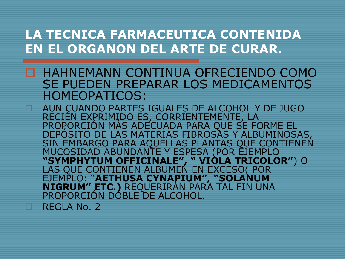- HAHNEMANN CONTINUA OFRECIENDO COMO SE PUEDEN PREPARAR LOS MEDICAMENTOS HOMEOPATICOS:
- AUN CUANDO PARTES IGUALES DE ALCOHOL Y DE JUGO RECIÉN EXPRIMIDO ES, CORRIENTEMENTE, LA PROPORCIÓN MÁS ADECUADA PARA QUE SE FORME EL DEPÓSITO DE LAS MATERIAS FIBROSAS Y ALBUMINOSAS, SIN EMBARGO PARA AQUELLAS PLANTAS QUE CONTIENEN MUCOSIDAD ABUNDANTE Y ESPESA (POR EJEMPLO **"SYMPHYTUM OFFICINALE", " VIOLA TRICOLOR"**) O LAS QUE CONTIENEN ALBUMEN EN EXCESO( POR EJEMPLO: "**AETHUSA CYNAPIUM", "SOLANUM NIGRUM" ETC.)** REQUERIRÁN PARA TAL FIN UNA PROPORCIÓN DOBLE DE ALCOHOL. REGLA No. 2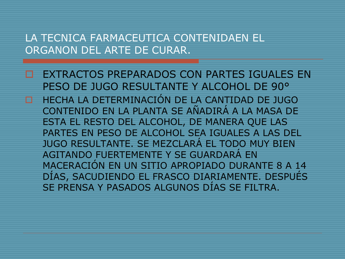EXTRACTOS PREPARADOS CON PARTES IGUALES EN PESO DE JUGO RESULTANTE Y ALCOHOL DE 90° HECHA LA DETERMINACIÓN DE LA CANTIDAD DE JUGO CONTENIDO EN LA PLANTA SE AÑADIRÁ A LA MASA DE ESTA EL RESTO DEL ALCOHOL, DE MANERA QUE LAS PARTES EN PESO DE ALCOHOL SEA IGUALES A LAS DEL JUGO RESULTANTE. SE MEZCLARÁ EL TODO MUY BIEN AGITANDO FUERTEMENTE Y SE GUARDARÁ EN MACERACIÓN EN UN SITIO APROPIADO DURANTE 8 A 14 DÍAS, SACUDIENDO EL FRASCO DIARIAMENTE. DESPUÉS SE PRENSA Y PASADOS ALGUNOS DÍAS SE FILTRA.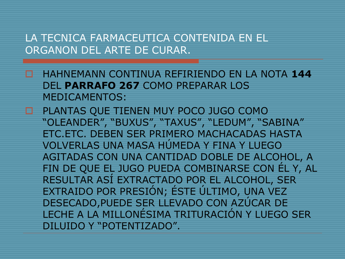- HAHNEMANN CONTINUA REFIRIENDO EN LA NOTA **144** DEL **PARRAFO 267** COMO PREPARAR LOS MEDICAMENTOS:
- PLANTAS QUE TIENEN MUY POCO JUGO COMO "OLEANDER", "BUXUS", "TAXUS", "LEDUM", "SABINA" ETC.ETC. DEBEN SER PRIMERO MACHACADAS HASTA VOLVERLAS UNA MASA HÚMEDA Y FINA Y LUEGO AGITADAS CON UNA CANTIDAD DOBLE DE ALCOHOL, A FIN DE QUE EL JUGO PUEDA COMBINARSE CON ÉL Y, AL RESULTAR ASÍ EXTRACTADO POR EL ALCOHOL, SER EXTRAIDO POR PRESIÓN; ÉSTE ÚLTIMO, UNA VEZ DESECADO,PUEDE SER LLEVADO CON AZÚCAR DE LECHE A LA MILLONÉSIMA TRITURACIÓN Y LUEGO SER DILUIDO Y "POTENTIZADO".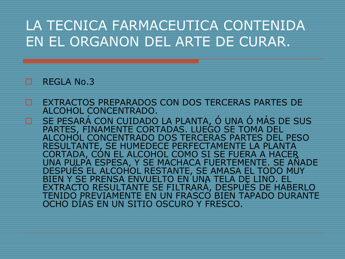#### REGLA No.3

EXTRACTOS PREPARADOS CON DOS TERCERAS PARTES DE ALCOHOL CONCENTRADO. □ SE PESARA CON CUIDADO LA PLANTA, O UNA O MAS DE SUS PARTES, FINAMENTE CORTADAS. LUEGO SE TOMA DEL ALCOHOL CONCENTRADO DOS TERCERAS PARTES DEL PESO RESULTANTE, SE HUMEDECE PERFECTAMENTE LA PLANTA CORTADA, CÓN EL ALCOHOL COMO SI SE FUERA A HACER<br>UNA PULPA ESPESA, Y SE MACHACA FUERTEMENTE. SE AÑADE<br>DESPUÉS EL ALCOHOL RESTANTE, SE AMASA EL TODO MUY BIEN Y SE PRENSA ENVUELTO EN UNA TELA DE LINO. EL<br>EXTRACTO RESULTANTE SE FILTRARÁ, DESPUÉS DE HABERLO TENIDO PREVIAMENTE EN UN FRASCO BIEN TAPADO DURANTE<br>OCHO DÍAS EN UN SITIO OSCURO Y FRESCO.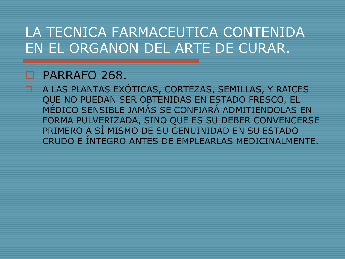#### PARRAFO 268.

 A LAS PLANTAS EXÓTICAS, CORTEZAS, SEMILLAS, Y RAICES QUE NO PUEDAN SER OBTENIDAS EN ESTADO FRESCO, EL MÉDICO SENSIBLE JAMÁS SE CONFIARÁ ADMITIENDOLAS EN FORMA PULVERIZADA, SINO QUE ES SU DEBER CONVENCERSE PRIMERO A SÍ MISMO DE SU GENUINIDAD EN SU ESTADO CRUDO E ÍNTEGRO ANTES DE EMPLEARLAS MEDICINALMENTE.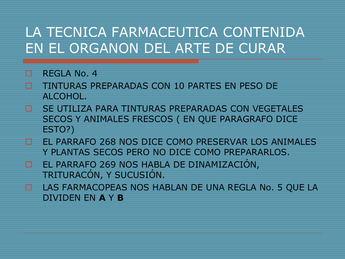- REGLA No. 4
- TINTURAS PREPARADAS CON 10 PARTES EN PESO DE ALCOHOL.
- SE UTILIZA PARA TINTURAS PREPARADAS CON VEGETALES SECOS Y ANIMALES FRESCOS ( EN QUE PARAGRAFO DICE ESTO?)
- EL PARRAFO 268 NOS DICE COMO PRESERVAR LOS ANIMALES Y PLANTAS SECOS PERO NO DICE COMO PREPARARLOS.
- EL PARRAFO 269 NOS HABLA DE DINAMIZACIÓN, TRITURACÓN, Y SUCUSIÓN.
- LAS FARMACOPEAS NOS HABLAN DE UNA REGLA No. 5 QUE LA DIVIDEN EN **A** Y **B**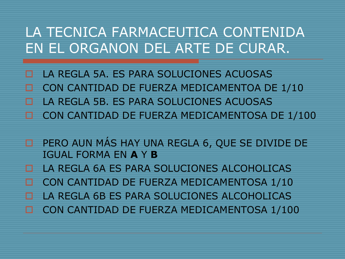- LA REGLA 5A. ES PARA SOLUCIONES ACUOSAS CON CANTIDAD DE FUERZA MEDICAMENTOA DE 1/10 LA REGLA 5B. ES PARA SOLUCIONES ACUOSAS CON CANTIDAD DE FUERZA MEDICAMENTOSA DE 1/100
- □ PERO AUN MÁS HAY UNA REGLA 6, QUE SE DIVIDE DE IGUAL FORMA EN **A** Y **B**
- LA REGLA 6A ES PARA SOLUCIONES ALCOHOLICAS
- CON CANTIDAD DE FUERZA MEDICAMENTOSA 1/10
- LA REGLA 6B ES PARA SOLUCIONES ALCOHOLICAS
- CON CANTIDAD DE FUERZA MEDICAMENTOSA 1/100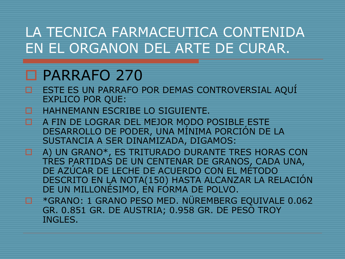### □ PARRAFO 270

- ESTE ES UN PARRAFO POR DEMAS CONTROVERSIAL AQUÍ EXPLICO POR QUE:
- HAHNEMANN ESCRIBE LO SIGUIENTE.
- A FIN DE LOGRAR DEL MEJOR MODO POSIBLE ESTE DESARROLLO DE PODER, UNA MÍNIMA PORCIÓN DE LA SUSTANCIA A SER DINAMIZADA, DIGAMOS:
- A) UN GRANO\*, ES TRITURADO DURANTE TRES HORAS CON TRES PARTIDAS DE UN CENTENAR DE GRANOS, CADA UNA, DE AZÚCAR DE LECHE DE ACUERDO CON EL MÉTODO DESCRITO EN LA NOTA(150) HASTA ALCANZAR LA RELACIÓN DE UN MILLONÉSIMO, EN FORMA DE POLVO.
- **E \*GRANO: 1 GRANO PESO MED. NÜREMBERG EQUIVALE 0.062** GR. 0.851 GR. DE AUSTRIA; 0.958 GR. DE PESO TROY INGLES.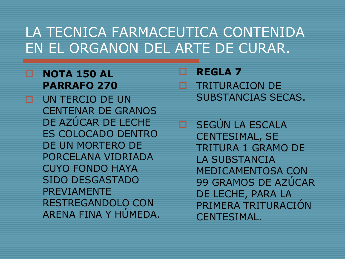#### **NOTA 150 AL PARRAFO 270**

 UN TERCIO DE UN CENTENAR DE GRANOS DE AZÚCAR DE LECHE ES COLOCADO DENTRO DE UN MORTERO DE PORCELANA VIDRIADA CUYO FONDO HAYA SIDO DESGASTADO PREVIAMENTE RESTREGANDOLO CON ARENA FINA Y HÚMEDA.

 **REGLA 7** TRITURACION DE SUBSTANCIAS SECAS.

 SEGÚN LA ESCALA CENTESIMAL, SE TRITURA 1 GRAMO DE LA SUBSTANCIA MEDICAMENTOSA CON 99 GRAMOS DE AZÚCAR DE LECHE, PARA LA PRIMERA TRITURACIÓN CENTESIMAL.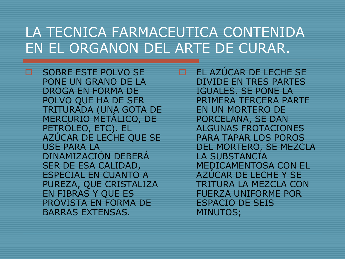SOBRE ESTE POLVO SE PONE UN GRANO DE LA DROGA EN FORMA DE POLVO QUE HA DE SER TRITURADA (UNA GOTA DE MERCURIO METÁLICO, DE PETRÓLEO, ETC). EL AZÚCAR DE LECHE QUE SE USE PARA LA DINAMIZACIÓN DEBERÁ SER DE ESA CALIDAD, ESPECIAL EN CUANTO A PUREZA, QUE CRISTALIZA EN FIBRAS Y QUE ES PROVISTA EN FORMA DE BARRAS EXTENSAS.

 EL AZÚCAR DE LECHE SE DIVIDE EN TRES PARTES IGUALES. SE PONE LA PRIMERA TERCERA PARTE EN UN MORTERO DE PORCELANA, SE DAN ALGUNAS FROTACIONES PARA TAPAR LOS POROS DEL MORTERO, SE MEZCLA LA SUBSTANCIA MEDICAMENTOSA CON EL AZÚCAR DE LECHE Y SE TRITURA LA MEZCLA CON FUERZA UNIFORME POR ESPACIO DE SEIS MINUTOS;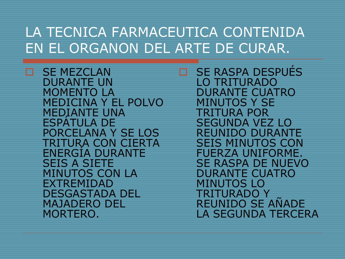SE MEZCLAN DURANTE UN MOMENTO LA MEDICINA Y EL POLVO MEDIANTE UNA<br>ESPÁTULA DE PORCELANA Y SE LOS TRITURA CON CIERTA ENERGÍA DURANTE SEIS A SIETE MINUTOS CON LA EXTREMIDAD DESGASTADA DEL MAJADERO DEL MORTERO.

 SE RASPA DESPUÉS LO TRITURADO DURANTE CUATRO MINUTOS Y SE TRITURA POR SEGUNDA VEZ LO REUNIDO DURANTE SEIS MINUTOS CON FUERZA UNIFORME. SE RASPA DE NUEVO DURANTE CUATRO MINUTOS LO<br>TRITURADO Y REUNIDO SE AÑADE LA SEGUNDA TERCERA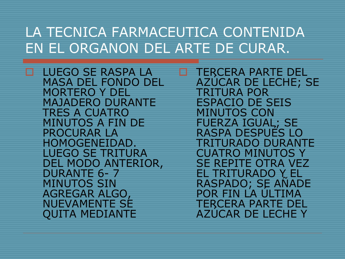LUEGO SE RASPA LA MASA DEL FONDO DEL MORTERO Y DEL MAJADERO DURANTE TRES A CUATRO MINUTOS A FIN DE PROCURAR LA HOMOGENEIDAD. LUEGO SE TRITURA DEL MODO ANTERIOR, DURANTE 6- 7 MINUTOS SIN AGREGAR ALGO, NUEVAMENTE SE QUITA MEDIANTE

**TERCERA PARTE DEL<br>AZUCAR DE LECHE; SE** TRITURA POR ESPACIO DE SEIS MINUTOS CON FUERZA IGUAL; SE RASPA DESPUÉS LO TRITURADO DURANTE CUATRO MINUTOS Y SE REPITE OTRA VEZ<br>EL TRITURADO Y EL RASPADO; SE AÑADE<br>POR FIN LA ÚLTIMA<br>TERCERA PARTE DEL AZÚCAR DE LECHE Y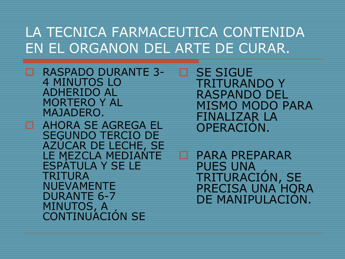- RASPADO DURANTE 3- 4 MINUTOS LO ADHERIDO AL MORTERO Y AL MAJADERO.
- **ENDEPENDADE SEGUNDO TERCIO DE** AZÚCAR DE LECHE, SE LE MEZCLA MEDIANTE<br>ESPÁTULA Y SE LE TRITURA NUEVAMENTE DURANTE 6-7 MINUTOS, A<br>CONTINUACIÓN SE

 SE SIGUE TRITURANDO Y RASPANDO DEL MISMO MODO PARA FINALIZAR LA<br>OPERACIÓN.

PARA PREPARAR<br>PUES UNA TRITURACIÓN, SE PRECISA UNA HORA<br>DE MANIPULACIÓN.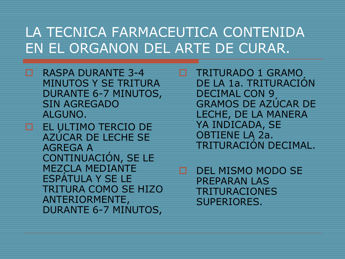- RASPA DURANTE 3-4 MINUTOS Y SE TRITURA DURANTE 6-7 MINUTOS, SIN AGREGADO ALGUNO.
- EL ULTIMO TERCIO DE AZÚCAR DE LECHE SE AGREGA A CONTINUACIÓN, SE LE MEZCLA MEDIANTE ESPÁTULA Y SE LE TRITURA COMO SE HIZO ANTERIORMENTE, DURANTE 6-7 MINUTOS,

**TRITURADO 1 GRAMO** DE LA 1a. TRITURACIÓN DECIMAL CON 9 GRAMOS DE AZÚCAR DE LECHE, DE LA MANERA YA INDICADA, SE OBTIENE LA 2a. TRITURACIÓN DECIMAL.

DEL MISMO MODO SE PREPARAN LAS TRITURACIONES SUPERIORES.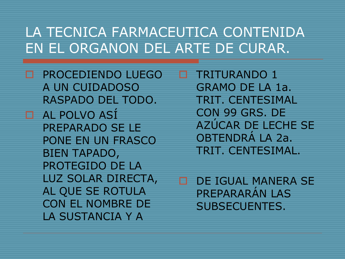**D** PROCEDIENDO LUEGO A UN CUIDADOSO RASPADO DEL TODO. AL POLVO ASÍ PREPARADO SE LE PONE EN UN FRASCO BIEN TAPADO, PROTEGIDO DE LA LUZ SOLAR DIRECTA, AL QUE SE ROTULA CON EL NOMBRE DE LA SUSTANCIA Y A

 TRITURANDO 1 GRAMO DE LA 1a. TRIT. CENTESIMAL CON 99 GRS. DE AZÚCAR DE LECHE SE OBTENDRÁ LA 2a. TRIT. CENTESIMAL.

 DE IGUAL MANERA SE PREPARARÁN LAS SUBSECUENTES.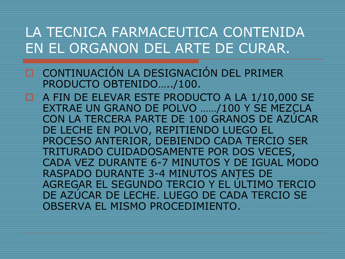- CONTINUACIÓN LA DESIGNACIÓN DEL PRIMER PRODUCTO OBTENIDO…../100.
- **E** A FIN DE ELEVAR ESTE PRODUCTO A LA 1/10,000 SE EXTRAE UN GRANO DE POLVO ……/100 Y SE MEZCLA CON LA TERCERA PARTE DE 100 GRANOS DE AZÚCAR DE LECHE EN POLVO, REPITIENDO LUEGO EL PROCESO ANTERIOR, DEBIENDO CADA TERCIO SER TRITURADO CUIDADOSAMENTE POR DOS VECES, CADA VEZ DURANTE 6-7 MINUTOS Y DE IGUAL MODO RASPADO DURANTE 3-4 MINUTOS ANTES DE AGREGAR EL SEGUNDO TERCIO Y EL ÚLTIMO TERCIO DE AZÚCAR DE LECHE. LUEGO DE CADA TERCIO SE OBSERVA EL MISMO PROCEDIMIENTO.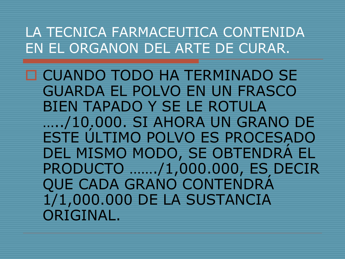CUANDO TODO HA TERMINADO SE GUARDA EL POLVO EN UN FRASCO BIEN TAPADO Y SE LE ROTULA …../10.000. SI AHORA UN GRANO DE ESTE ÚLTIMO POLVO ES PROCESADO DEL MISMO MODO, SE OBTENDRÁ EL PRODUCTO ……./1,000.000, ES DECIR QUE CADA GRANO CONTENDRÁ 1/1,000.000 DE LA SUSTANCIA ORIGINAL.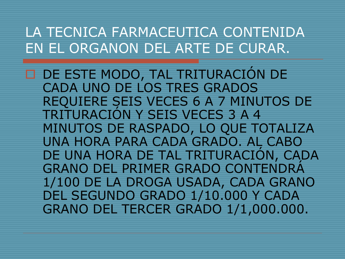DE ESTE MODO, TAL TRITURACIÓN DE CADA UNO DE LOS TRES GRADOS REQUIERE SEIS VECES 6 A 7 MINUTOS DE TRITURACIÓN Y SEIS VECES 3 A 4 MINUTOS DE RASPADO, LO QUE TOTALIZA UNA HORA PARA CADA GRADO. AL CABO DE UNA HORA DE TAL TRITURACIÓN, CADA GRANO DEL PRIMER GRADO CONTENDRÁ 1/100 DE LA DROGA USADA, CADA GRANO DEL SEGUNDO GRADO 1/10.000 Y CADA GRANO DEL TERCER GRADO 1/1,000.000.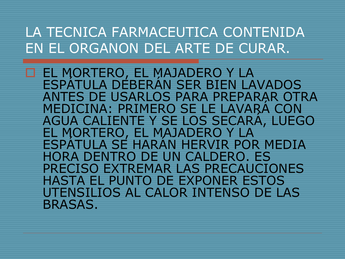EL MORTERO, EL MAJADERO Y LA<br>ESPÁTULA DEBERÁN SER BIEN LAVADOS<br>ANTES DE USARLOS PARA PREPARAR OTRA ANTES DE USARLOS PARA PREPARAR OTRA<br>MEDICINA: PRIMERO SE LE LAVARÁ CON<br>AGUA CALIENTE Y SE LOS SECARÁ, LUEGO EL MORTERO, EL MAJADERO Y LA<br>ESPÁTULA SE HARÁN HERVIR POR MEDIA HORA DENTRO DE UN CALDERO. ES PRECISO EXTREMAR LAS PRECAUCIONES HASTA EL PUNTO DE EXPONER ESTOS UTENSILIOS AL CALOR INTENSO DE LAS BRASAS.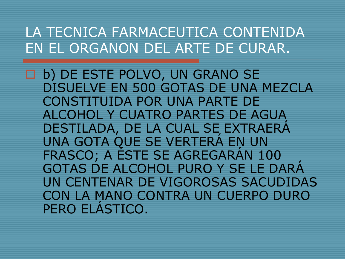b) DE ESTE POLVO, UN GRANO SE DISUELVE EN 500 GOTAS DE UNA MEZCLA CONSTITUIDA POR UNA PARTE DE ALCOHOL Y CUATRO PARTES DE AGUA DESTILADA, DE LA CUAL SE EXTRAERÁ UNA GOTA QUE SE VERTERÁ EN UN FRASCO; A ÉSTE SE AGREGARÁN 100 GOTAS DE ALCOHOL PURO Y SE LE DARÁ UN CENTENAR DE VIGOROSAS SACUDIDAS CON LA MANO CONTRA UN CUERPO DURO PERO ELÁSTICO.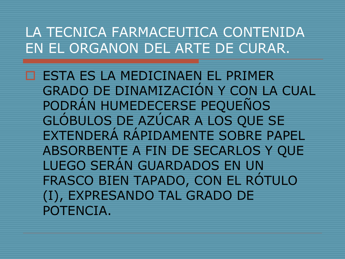**EN ESTA ES LA MEDICINAEN EL PRIMER** GRADO DE DINAMIZACIÓN Y CON LA CUAL PODRÁN HUMEDECERSE PEQUEÑOS GLÓBULOS DE AZÚCAR A LOS QUE SE EXTENDERÁ RÁPIDAMENTE SOBRE PAPEL ABSORBENTE A FIN DE SECARLOS Y QUE LUEGO SERÁN GUARDADOS EN UN FRASCO BIEN TAPADO, CON EL RÓTULO (I), EXPRESANDO TAL GRADO DE POTENCIA.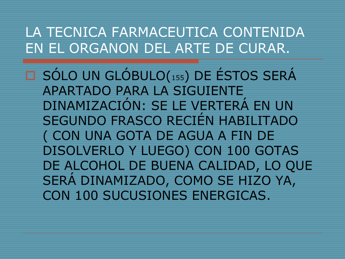SÓLO UN GLÓBULO(155) DE ÉSTOS SERÁ APARTADO PARA LA SIGUIENTE DINAMIZACIÓN: SE LE VERTERÁ EN UN SEGUNDO FRASCO RECIÉN HABILITADO ( CON UNA GOTA DE AGUA A FIN DE DISOLVERLO Y LUEGO) CON 100 GOTAS DE ALCOHOL DE BUENA CALIDAD, LO QUE SERÁ DINAMIZADO, COMO SE HIZO YA, CON 100 SUCUSIONES ENERGICAS.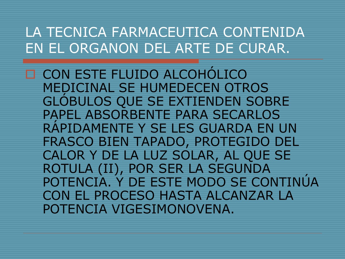CON ESTE FLUIDO ALCOHÓLICO MEDICINAL SE HUMEDECEN OTROS GLÓBULOS QUE SE EXTIENDEN SOBRE PAPEL ABSORBENTE PARA SECARLOS RÁPIDAMENTE Y SE LES GUARDA EN UN FRASCO BIEN TAPADO, PROTEGIDO DEL CALOR Y DE LA LUZ SOLAR, AL QUE SE ROTULA (II), POR SER LA SEGUNDA POTENCIA. Y DE ESTE MODO SE CONTINÚA CON EL PROCESO HASTA ALCANZAR LA POTENCIA VIGESIMONOVENA.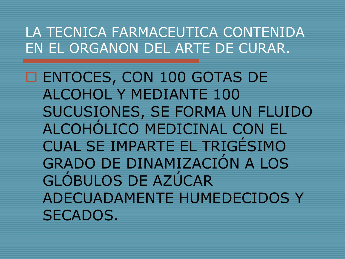ENTOCES, CON 100 GOTAS DE ALCOHOL Y MEDIANTE 100 SUCUSIONES, SE FORMA UN FLUIDO ALCOHÓLICO MEDICINAL CON EL CUAL SE IMPARTE EL TRIGÉSIMO GRADO DE DINAMIZACIÓN A LOS GLÓBULOS DE AZÚCAR ADECUADAMENTE HUMEDECIDOS Y SECADOS.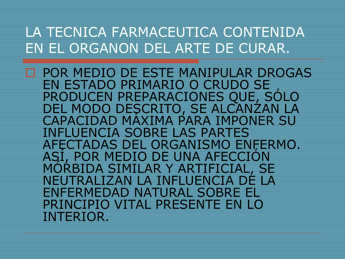□ POR MEDIO DE ESTE MANIPULAR DROGAS<br>EN ESTADO PRIMARIO O CRUDO SE PRODUCEN PREPARACIONES QUE, SÓLO<br>DEL MODO DESCRITO, SE ALCANZAN LA CAPACIDAD MÁXIMA PARA IMPONER SU INFLUENCIA SOBRE LAS PARTES<br>AFECTADAS DEL ORGANISMO ENFERMO. ASI, POR MEDIO DE UNA AFECCIÓN<br>MÓRBIDA SIMILAR Y ARTIFICIAL, SE NEUTRALIZAN LA INFLUENCIA DE LA ENFERMEDAD NATURAL SOBRE EL PRINCIPIO VITAL PRESENTE EN LO INTERIOR.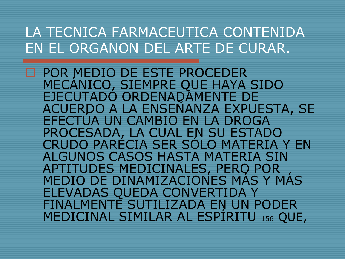□ POR MEDIO DE ESTE PROCEDER<br>MECÁNICO, SIEMPRE QUE HAYA SIDO<br>EJECUTADO ORDENADAMENTE DE ACUERDO A LA ENSEÑANZA EXPUESTA, SE<br>EFECTUA UN CAMBIO EN LA DROGA<br>PROCESADA, LA CUAL EN SU ESTADO CRUDO PARÉCIA SER SÓLO MATERIA Y EN ALGUNOS CASOS HASTA MATERIA SIN<br>APTITUDES MEDICINALES, PERO POR MEDIO DE DINAMIZACIONES MÁS Y MÁS ELEVADAS QUEDA CONVERTIDA Y MEDICINAL SIMILAR AL ESPÍRITU 156 QUE,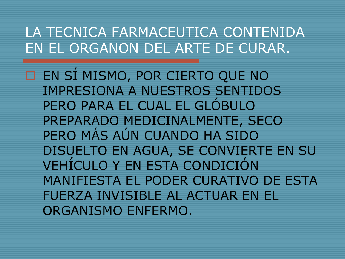EN SÍ MISMO, POR CIERTO QUE NO IMPRESIONA A NUESTROS SENTIDOS PERO PARA EL CUAL EL GLÓBULO PREPARADO MEDICINALMENTE, SECO PERO MÁS AÚN CUANDO HA SIDO DISUELTO EN AGUA, SE CONVIERTE EN SU VEHÍCULO Y EN ESTA CONDICIÓN MANIFIESTA EL PODER CURATIVO DE ESTA FUERZA INVISIBLE AL ACTUAR EN EL ORGANISMO ENFERMO.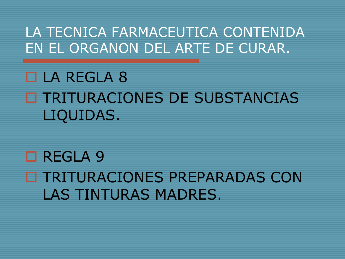# LA REGLA 8 TRITURACIONES DE SUBSTANCIAS LIQUIDAS.

# □ REGLA 9 **O TRITURACIONES PREPARADAS CON** LAS TINTURAS MADRES.